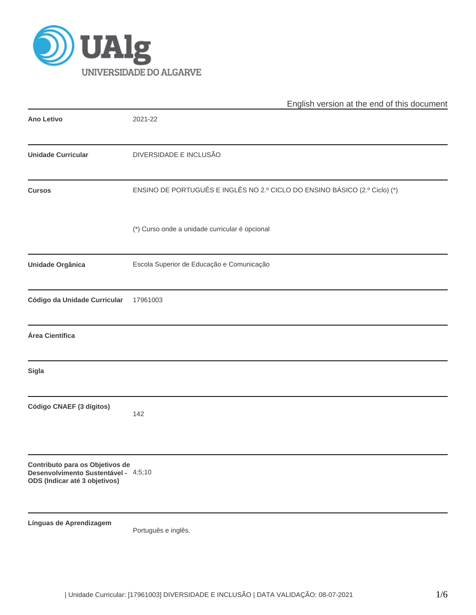

|                                                                                                          | English version at the end of this document                                |  |  |  |  |  |  |
|----------------------------------------------------------------------------------------------------------|----------------------------------------------------------------------------|--|--|--|--|--|--|
| <b>Ano Letivo</b>                                                                                        | 2021-22                                                                    |  |  |  |  |  |  |
| <b>Unidade Curricular</b>                                                                                | DIVERSIDADE E INCLUSÃO                                                     |  |  |  |  |  |  |
| <b>Cursos</b>                                                                                            | ENSINO DE PORTUGUÊS E INGLÊS NO 2.º CICLO DO ENSINO BÁSICO (2.º Ciclo) (*) |  |  |  |  |  |  |
|                                                                                                          | (*) Curso onde a unidade curricular é opcional                             |  |  |  |  |  |  |
| Unidade Orgânica                                                                                         | Escola Superior de Educação e Comunicação                                  |  |  |  |  |  |  |
| Código da Unidade Curricular                                                                             | 17961003                                                                   |  |  |  |  |  |  |
| Área Científica                                                                                          |                                                                            |  |  |  |  |  |  |
| <b>Sigla</b>                                                                                             |                                                                            |  |  |  |  |  |  |
| Código CNAEF (3 dígitos)                                                                                 | 142                                                                        |  |  |  |  |  |  |
| Contributo para os Objetivos de<br>Desenvolvimento Sustentável - 4;5;10<br>ODS (Indicar até 3 objetivos) |                                                                            |  |  |  |  |  |  |
| Línguas de Aprendizagem                                                                                  | Português e inglês.                                                        |  |  |  |  |  |  |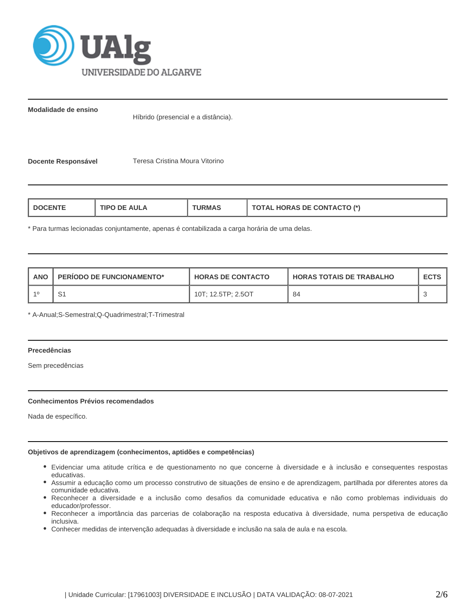

**Modalidade de ensino**

Híbrido (presencial e a distância).

**Docente Responsável** Teresa Cristina Moura Vitorino

| <b>AULA</b><br><b>TIPC</b><br>"RMAL<br>nF.<br>-NTE | <b>TOTAL HORAS DE CONTACTO (*)</b> |
|----------------------------------------------------|------------------------------------|
|----------------------------------------------------|------------------------------------|

\* Para turmas lecionadas conjuntamente, apenas é contabilizada a carga horária de uma delas.

| <b>ANO</b> | <b>PERIODO DE FUNCIONAMENTO*</b> | <b>HORAS DE CONTACTO</b> | I HORAS TOTAIS DE TRABALHO |  |
|------------|----------------------------------|--------------------------|----------------------------|--|
|            | S1                               | 10T; 12.5TP; 2.5OT       | 84                         |  |

\* A-Anual;S-Semestral;Q-Quadrimestral;T-Trimestral

## **Precedências**

Sem precedências

## **Conhecimentos Prévios recomendados**

Nada de específico.

# **Objetivos de aprendizagem (conhecimentos, aptidões e competências)**

- Evidenciar uma atitude crítica e de questionamento no que concerne à diversidade e à inclusão e consequentes respostas educativas.
- Assumir a educação como um processo construtivo de situações de ensino e de aprendizagem, partilhada por diferentes atores da comunidade educativa.
- Reconhecer a diversidade e a inclusão como desafios da comunidade educativa e não como problemas individuais do educador/professor.
- Reconhecer a importância das parcerias de colaboração na resposta educativa à diversidade, numa perspetiva de educação inclusiva.
- Conhecer medidas de intervenção adequadas à diversidade e inclusão na sala de aula e na escola.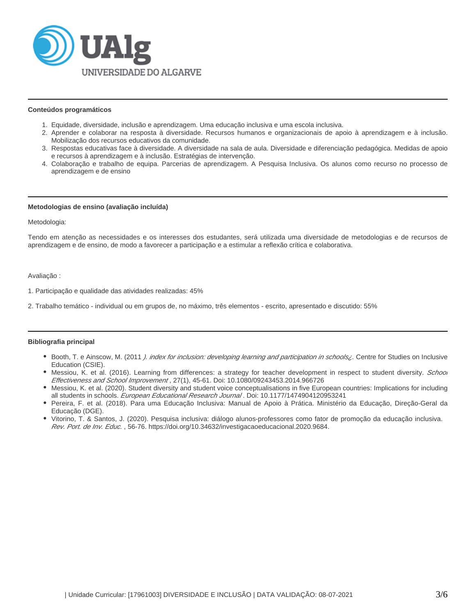

#### **Conteúdos programáticos**

- 1. Equidade, diversidade, inclusão e aprendizagem. Uma educação inclusiva e uma escola inclusiva.
- 2. Aprender e colaborar na resposta à diversidade. Recursos humanos e organizacionais de apoio à aprendizagem e à inclusão. Mobilização dos recursos educativos da comunidade.
- 3. Respostas educativas face à diversidade. A diversidade na sala de aula. Diversidade e diferenciação pedagógica. Medidas de apoio e recursos à aprendizagem e à inclusão. Estratégias de intervenção.
- 4. Colaboração e trabalho de equipa. Parcerias de aprendizagem. A Pesquisa Inclusiva. Os alunos como recurso no processo de aprendizagem e de ensino

#### **Metodologias de ensino (avaliação incluída)**

Metodologia:

Tendo em atenção as necessidades e os interesses dos estudantes, será utilizada uma diversidade de metodologias e de recursos de aprendizagem e de ensino, de modo a favorecer a participação e a estimular a reflexão crítica e colaborativa.

Avaliação :

1. Participação e qualidade das atividades realizadas: 45%

2. Trabalho temático - individual ou em grupos de, no máximo, três elementos - escrito, apresentado e discutido: 55%

## **Bibliografia principal**

- Booth, T. e Ainscow, M. (2011 *). index for inclusion: developing learning and participation in schools<sub>i</sub>. Centre for Studies on Inclusive* Education (CSIE).
- Messiou, K. et al. (2016). Learning from differences: a strategy for teacher development in respect to student diversity. School Effectiveness and School Improvement , 27(1), 45-61. Doi: 10.1080/09243453.2014.966726
- Messiou, K. et al. (2020). Student diversity and student voice conceptualisations in five European countries: Implications for including all students in schools. European Educational Research Journal. Doi: 10.1177/1474904120953241
- Pereira, F. et al. (2018). Para uma Educação Inclusiva: Manual de Apoio à Prática. Ministério da Educação, Direção-Geral da Educação (DGE).
- Vitorino, T. & Santos, J. (2020). Pesquisa inclusiva: diálogo alunos-professores como fator de promoção da educação inclusiva. Rev. Port. de Inv. Educ. , 56-76. https://doi.org/10.34632/investigacaoeducacional.2020.9684.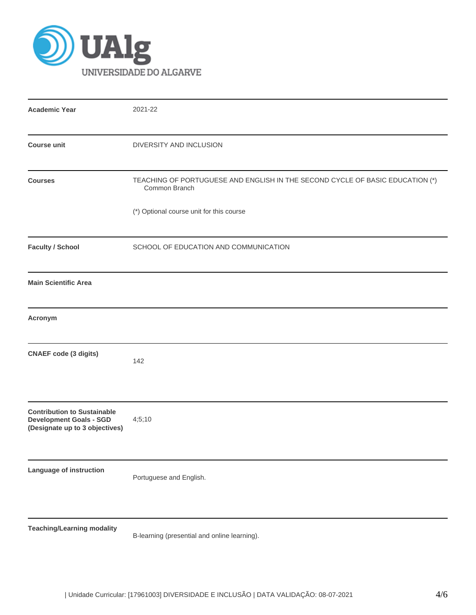

| <b>Academic Year</b>                                                                                   | 2021-22                                                                                        |
|--------------------------------------------------------------------------------------------------------|------------------------------------------------------------------------------------------------|
| <b>Course unit</b>                                                                                     | DIVERSITY AND INCLUSION                                                                        |
| <b>Courses</b>                                                                                         | TEACHING OF PORTUGUESE AND ENGLISH IN THE SECOND CYCLE OF BASIC EDUCATION (*)<br>Common Branch |
|                                                                                                        | (*) Optional course unit for this course                                                       |
| <b>Faculty / School</b>                                                                                | SCHOOL OF EDUCATION AND COMMUNICATION                                                          |
| <b>Main Scientific Area</b>                                                                            |                                                                                                |
| Acronym                                                                                                |                                                                                                |
| <b>CNAEF code (3 digits)</b>                                                                           | 142                                                                                            |
| <b>Contribution to Sustainable</b><br><b>Development Goals - SGD</b><br>(Designate up to 3 objectives) | 4;5;10                                                                                         |
| Language of instruction                                                                                | Portuguese and English.                                                                        |
| <b>Teaching/Learning modality</b>                                                                      | B-learning (presential and online learning).                                                   |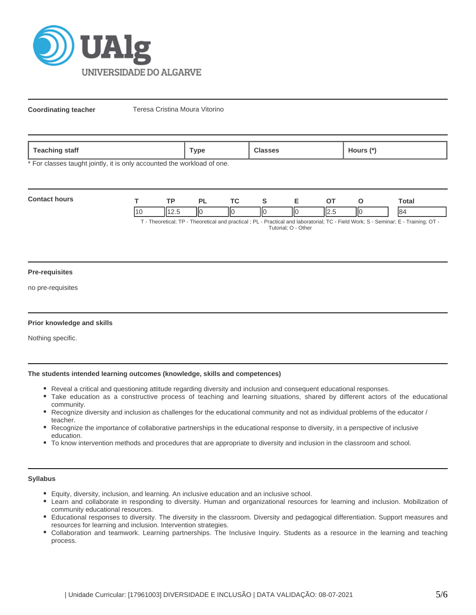

**Coordinating teacher** Teresa Cristina Moura Vitorino

| <b>Teaching</b><br>staff | Гуре | $\mathbf{r}$<br><b>Aours</b><br>$\sim$ |
|--------------------------|------|----------------------------------------|
|                          |      |                                        |

\* For classes taught jointly, it is only accounted the workload of one.

| <b>Contact hours</b>                                                                                                                                                                                                            |  | <b>TD</b> |     |    |   |    |     | `otal |
|---------------------------------------------------------------------------------------------------------------------------------------------------------------------------------------------------------------------------------|--|-----------|-----|----|---|----|-----|-------|
|                                                                                                                                                                                                                                 |  | ے کا ا    | IІC | ΙЮ | Ш | IЮ | IІC | 84    |
| $T$ . The contrast $TD$ . The contrast contrast of $D$ is $D$ and $D$ and the contrast $T$ $D$ . The HMA and $D$ $D$ $D$ and $D$ $T$ is $D$ $T$ is $D$ $T$ is $D$ $T$ is $D$ $T$ is $D$ $T$ is $D$ $T$ is $D$ $T$ is $D$ is $D$ |  |           |     |    |   |    |     |       |

T - Theoretical; TP - Theoretical and practical ; PL - Practical and laboratorial; TC - Field Work; S - Seminar; E - Training; OT - Tutorial; O - Other

#### **Pre-requisites**

no pre-requisites

## **Prior knowledge and skills**

Nothing specific.

# **The students intended learning outcomes (knowledge, skills and competences)**

- Reveal a critical and questioning attitude regarding diversity and inclusion and consequent educational responses.
- Take education as a constructive process of teaching and learning situations, shared by different actors of the educational community.
- Recognize diversity and inclusion as challenges for the educational community and not as individual problems of the educator / teacher.
- Recognize the importance of collaborative partnerships in the educational response to diversity, in a perspective of inclusive education.
- To know intervention methods and procedures that are appropriate to diversity and inclusion in the classroom and school.

# **Syllabus**

- Equity, diversity, inclusion, and learning. An inclusive education and an inclusive school.
- Learn and collaborate in responding to diversity. Human and organizational resources for learning and inclusion. Mobilization of community educational resources.
- Educational responses to diversity. The diversity in the classroom. Diversity and pedagogical differentiation. Support measures and resources for learning and inclusion. Intervention strategies.
- Collaboration and teamwork. Learning partnerships. The Inclusive Inquiry. Students as a resource in the learning and teaching process.